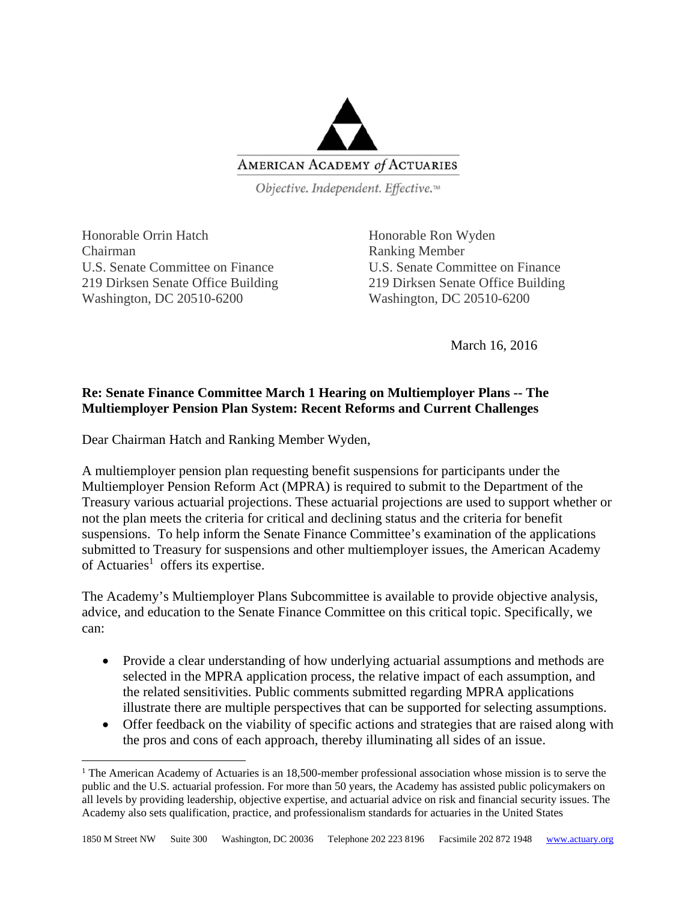

Objective. Independent. Effective.™

Honorable Orrin Hatch Honorable Ron Wyden Chairman Ranking Member U.S. Senate Committee on Finance U.S. Senate Committee on Finance 219 Dirksen Senate Office Building 219 Dirksen Senate Office Building Washington, DC 20510-6200 Washington, DC 20510-6200

March 16, 2016

## **Re: Senate Finance Committee March 1 Hearing on Multiemployer Plans -- The Multiemployer Pension Plan System: Recent Reforms and Current Challenges**

Dear Chairman Hatch and Ranking Member Wyden,

A multiemployer pension plan requesting benefit suspensions for participants under the Multiemployer Pension Reform Act (MPRA) is required to submit to the Department of the Treasury various actuarial projections. These actuarial projections are used to support whether or not the plan meets the criteria for critical and declining status and the criteria for benefit suspensions. To help inform the Senate Finance Committee's examination of the applications submitted to Treasury for suspensions and other multiemployer issues, the American Academy of Actuaries<sup>1</sup> offers its expertise.

The Academy's Multiemployer Plans Subcommittee is available to provide objective analysis, advice, and education to the Senate Finance Committee on this critical topic. Specifically, we can:

- Provide a clear understanding of how underlying actuarial assumptions and methods are selected in the MPRA application process, the relative impact of each assumption, and the related sensitivities. Public comments submitted regarding MPRA applications illustrate there are multiple perspectives that can be supported for selecting assumptions.
- Offer feedback on the viability of specific actions and strategies that are raised along with the pros and cons of each approach, thereby illuminating all sides of an issue.

<sup>&</sup>lt;sup>1</sup> The American Academy of Actuaries is an 18,500-member professional association whose mission is to serve the public and the U.S. actuarial profession. For more than 50 years, the Academy has assisted public policymakers on all levels by providing leadership, objective expertise, and actuarial advice on risk and financial security issues. The Academy also sets qualification, practice, and professionalism standards for actuaries in the United States